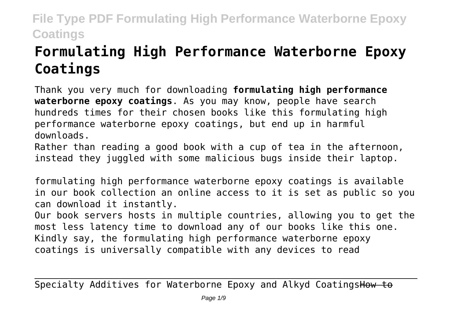# **Formulating High Performance Waterborne Epoxy Coatings**

Thank you very much for downloading **formulating high performance waterborne epoxy coatings**. As you may know, people have search hundreds times for their chosen books like this formulating high performance waterborne epoxy coatings, but end up in harmful downloads.

Rather than reading a good book with a cup of tea in the afternoon, instead they juggled with some malicious bugs inside their laptop.

formulating high performance waterborne epoxy coatings is available in our book collection an online access to it is set as public so you can download it instantly.

Our book servers hosts in multiple countries, allowing you to get the most less latency time to download any of our books like this one. Kindly say, the formulating high performance waterborne epoxy coatings is universally compatible with any devices to read

Specialty Additives for Waterborne Epoxy and Alkyd CoatingsHow to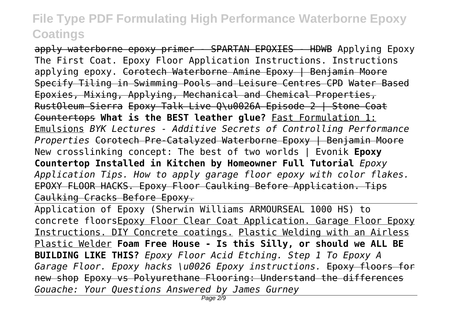apply waterborne epoxy primer - SPARTAN EPOXIES - HDWB Applying Epoxy The First Coat. Epoxy Floor Application Instructions. Instructions applying epoxy. Corotech Waterborne Amine Epoxy | Benjamin Moore Specify Tiling in Swimming Pools and Leisure Centres CPD Water Based Epoxies, Mixing, Applying, Mechanical and Chemical Properties, RustOleum Sierra Epoxy Talk Live Q\u0026A Episode 2 | Stone Coat Countertops **What is the BEST leather glue?** Fast Formulation 1: Emulsions *BYK Lectures - Additive Secrets of Controlling Performance Properties* Corotech Pre-Catalyzed Waterborne Epoxy | Benjamin Moore New crosslinking concept: The best of two worlds | Evonik **Epoxy Countertop Installed in Kitchen by Homeowner Full Tutorial** *Epoxy Application Tips. How to apply garage floor epoxy with color flakes.* EPOXY FLOOR HACKS. Epoxy Floor Caulking Before Application. Tips Caulking Cracks Before Epoxy.

Application of Epoxy (Sherwin Williams ARMOURSEAL 1000 HS) to concrete floorsEpoxy Floor Clear Coat Application. Garage Floor Epoxy Instructions. DIY Concrete coatings. Plastic Welding with an Airless Plastic Welder **Foam Free House - Is this Silly, or should we ALL BE BUILDING LIKE THIS?** *Epoxy Floor Acid Etching. Step 1 To Epoxy A Garage Floor. Epoxy hacks \u0026 Epoxy instructions.* Epoxy floors for new shop Epoxy vs Polyurethane Flooring: Understand the differences *Gouache: Your Questions Answered by James Gurney*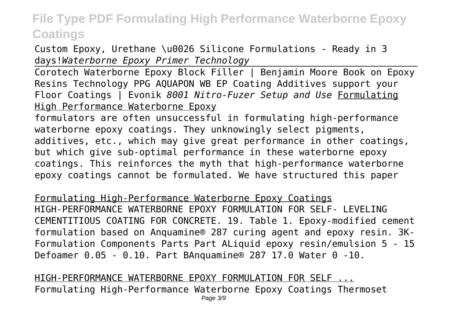Custom Epoxy, Urethane \u0026 Silicone Formulations - Ready in 3 days!*Waterborne Epoxy Primer Technology*

Corotech Waterborne Epoxy Block Filler | Benjamin Moore Book on Epoxy Resins Technology PPG AQUAPON WB EP Coating Additives support your Floor Coatings | Evonik *8001 Nitro-Fuzer Setup and Use* Formulating High Performance Waterborne Epoxy

formulators are often unsuccessful in formulating high-performance waterborne epoxy coatings. They unknowingly select pigments, additives, etc., which may give great performance in other coatings, but which give sub-optimal performance in these waterborne epoxy coatings. This reinforces the myth that high-performance waterborne epoxy coatings cannot be formulated. We have structured this paper

Formulating High-Performance Waterborne Epoxy Coatings HIGH-PERFORMANCE WATERBORNE EPOXY FORMULATION FOR SELF- LEVELING CEMENTITIOUS COATING FOR CONCRETE. 19. Table 1. Epoxy-modified cement formulation based on Anquamine® 287 curing agent and epoxy resin. 3K-Formulation Components Parts Part ALiquid epoxy resin/emulsion 5 - 15 Defoamer 0.05 - 0.10. Part BAnquamine® 287 17.0 Water 0 -10.

HIGH-PERFORMANCE WATERBORNE EPOXY FORMULATION FOR SELF ... Formulating High-Performance Waterborne Epoxy Coatings Thermoset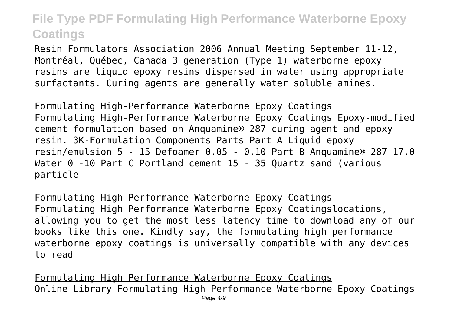Resin Formulators Association 2006 Annual Meeting September 11-12, Montréal, Québec, Canada 3 generation (Type 1) waterborne epoxy resins are liquid epoxy resins dispersed in water using appropriate surfactants. Curing agents are generally water soluble amines.

Formulating High-Performance Waterborne Epoxy Coatings Formulating High-Performance Waterborne Epoxy Coatings Epoxy-modified cement formulation based on Anquamine® 287 curing agent and epoxy resin. 3K-Formulation Components Parts Part A Liquid epoxy resin/emulsion 5 - 15 Defoamer 0.05 - 0.10 Part B Anquamine® 287 17.0 Water 0 -10 Part C Portland cement 15 - 35 Quartz sand (various particle

Formulating High Performance Waterborne Epoxy Coatings Formulating High Performance Waterborne Epoxy Coatingslocations, allowing you to get the most less latency time to download any of our books like this one. Kindly say, the formulating high performance waterborne epoxy coatings is universally compatible with any devices to read

Formulating High Performance Waterborne Epoxy Coatings Online Library Formulating High Performance Waterborne Epoxy Coatings Page  $4/9$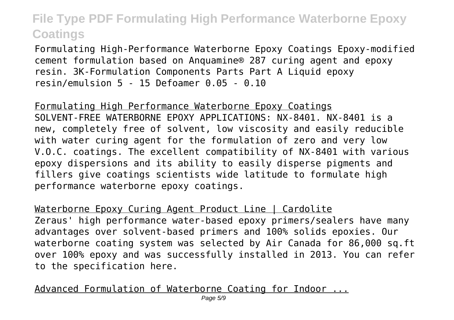Formulating High-Performance Waterborne Epoxy Coatings Epoxy-modified cement formulation based on Anquamine® 287 curing agent and epoxy resin. 3K-Formulation Components Parts Part A Liquid epoxy resin/emulsion 5 - 15 Defoamer 0.05 - 0.10

Formulating High Performance Waterborne Epoxy Coatings SOLVENT-FREE WATERBORNE EPOXY APPLICATIONS: NX-8401. NX-8401 is a new, completely free of solvent, low viscosity and easily reducible with water curing agent for the formulation of zero and very low V.O.C. coatings. The excellent compatibility of NX-8401 with various epoxy dispersions and its ability to easily disperse pigments and fillers give coatings scientists wide latitude to formulate high performance waterborne epoxy coatings.

Waterborne Epoxy Curing Agent Product Line | Cardolite Zeraus' high performance water-based epoxy primers/sealers have many advantages over solvent-based primers and 100% solids epoxies. Our waterborne coating system was selected by Air Canada for 86,000 sq.ft over 100% epoxy and was successfully installed in 2013. You can refer to the specification here.

Advanced Formulation of Waterborne Coating for Indoor ...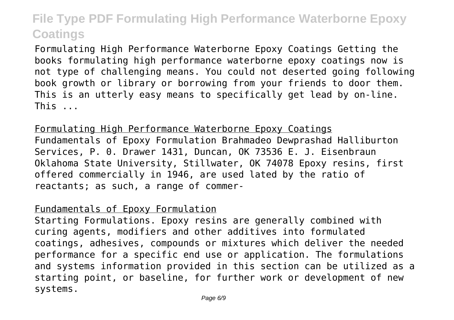Formulating High Performance Waterborne Epoxy Coatings Getting the books formulating high performance waterborne epoxy coatings now is not type of challenging means. You could not deserted going following book growth or library or borrowing from your friends to door them. This is an utterly easy means to specifically get lead by on-line. This ...

Formulating High Performance Waterborne Epoxy Coatings Fundamentals of Epoxy Formulation Brahmadeo Dewprashad Halliburton Services, P. 0. Drawer 1431, Duncan, OK 73536 E. J. Eisenbraun Oklahoma State University, Stillwater, OK 74078 Epoxy resins, first offered commercially in 1946, are used lated by the ratio of reactants; as such, a range of commer-

#### Fundamentals of Epoxy Formulation

Starting Formulations. Epoxy resins are generally combined with curing agents, modifiers and other additives into formulated coatings, adhesives, compounds or mixtures which deliver the needed performance for a specific end use or application. The formulations and systems information provided in this section can be utilized as a starting point, or baseline, for further work or development of new systems.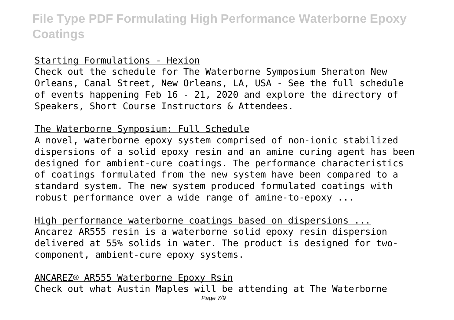#### Starting Formulations - Hexion

Check out the schedule for The Waterborne Symposium Sheraton New Orleans, Canal Street, New Orleans, LA, USA - See the full schedule of events happening Feb 16 - 21, 2020 and explore the directory of Speakers, Short Course Instructors & Attendees.

#### The Waterborne Symposium: Full Schedule

A novel, waterborne epoxy system comprised of non-ionic stabilized dispersions of a solid epoxy resin and an amine curing agent has been designed for ambient-cure coatings. The performance characteristics of coatings formulated from the new system have been compared to a standard system. The new system produced formulated coatings with robust performance over a wide range of amine-to-epoxy ...

High performance waterborne coatings based on dispersions ... Ancarez AR555 resin is a waterborne solid epoxy resin dispersion delivered at 55% solids in water. The product is designed for twocomponent, ambient-cure epoxy systems.

ANCAREZ® AR555 Waterborne Epoxy Rsin Check out what Austin Maples will be attending at The Waterborne Page 7/9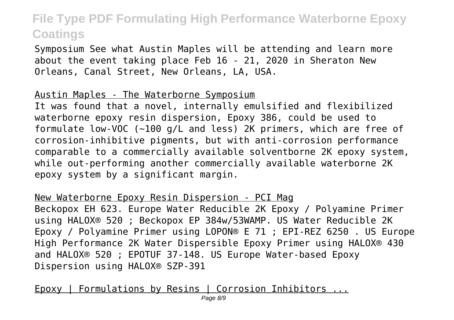Symposium See what Austin Maples will be attending and learn more about the event taking place Feb 16 - 21, 2020 in Sheraton New Orleans, Canal Street, New Orleans, LA, USA.

#### Austin Maples - The Waterborne Symposium

It was found that a novel, internally emulsified and flexibilized waterborne epoxy resin dispersion, Epoxy 386, could be used to formulate low-VOC (~100 g/L and less) 2K primers, which are free of corrosion-inhibitive pigments, but with anti-corrosion performance comparable to a commercially available solventborne 2K epoxy system, while out-performing another commercially available waterborne 2K epoxy system by a significant margin.

New Waterborne Epoxy Resin Dispersion - PCI Mag

Beckopox EH 623. Europe Water Reducible 2K Epoxy / Polyamine Primer using HALOX® 520 ; Beckopox EP 384w/53WAMP. US Water Reducible 2K Epoxy / Polyamine Primer using LOPON® E 71 ; EPI-REZ 6250 . US Europe High Performance 2K Water Dispersible Epoxy Primer using HALOX® 430 and HALOX® 520 ; EPOTUF 37-148. US Europe Water-based Epoxy Dispersion using HALOX® SZP-391

Epoxy | Formulations by Resins | Corrosion Inhibitors ...